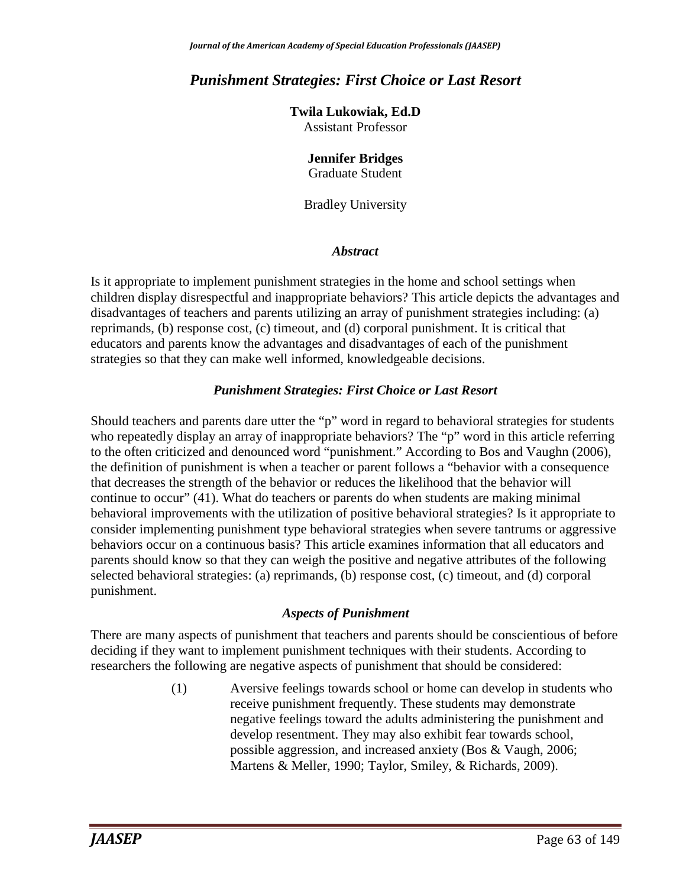# *Punishment Strategies: First Choice or Last Resort*

**Twila Lukowiak, Ed.D** Assistant Professor

# **Jennifer Bridges**

Graduate Student

Bradley University

### *Abstract*

Is it appropriate to implement punishment strategies in the home and school settings when children display disrespectful and inappropriate behaviors? This article depicts the advantages and disadvantages of teachers and parents utilizing an array of punishment strategies including: (a) reprimands, (b) response cost, (c) timeout, and (d) corporal punishment. It is critical that educators and parents know the advantages and disadvantages of each of the punishment strategies so that they can make well informed, knowledgeable decisions.

### *Punishment Strategies: First Choice or Last Resort*

Should teachers and parents dare utter the "p" word in regard to behavioral strategies for students who repeatedly display an array of inappropriate behaviors? The "p" word in this article referring to the often criticized and denounced word "punishment." According to Bos and Vaughn (2006), the definition of punishment is when a teacher or parent follows a "behavior with a consequence that decreases the strength of the behavior or reduces the likelihood that the behavior will continue to occur" (41). What do teachers or parents do when students are making minimal behavioral improvements with the utilization of positive behavioral strategies? Is it appropriate to consider implementing punishment type behavioral strategies when severe tantrums or aggressive behaviors occur on a continuous basis? This article examines information that all educators and parents should know so that they can weigh the positive and negative attributes of the following selected behavioral strategies: (a) reprimands, (b) response cost, (c) timeout, and (d) corporal punishment.

### *Aspects of Punishment*

There are many aspects of punishment that teachers and parents should be conscientious of before deciding if they want to implement punishment techniques with their students. According to researchers the following are negative aspects of punishment that should be considered:

> (1) Aversive feelings towards school or home can develop in students who receive punishment frequently. These students may demonstrate negative feelings toward the adults administering the punishment and develop resentment. They may also exhibit fear towards school, possible aggression, and increased anxiety (Bos & Vaugh, 2006; Martens & Meller, 1990; Taylor, Smiley, & Richards, 2009).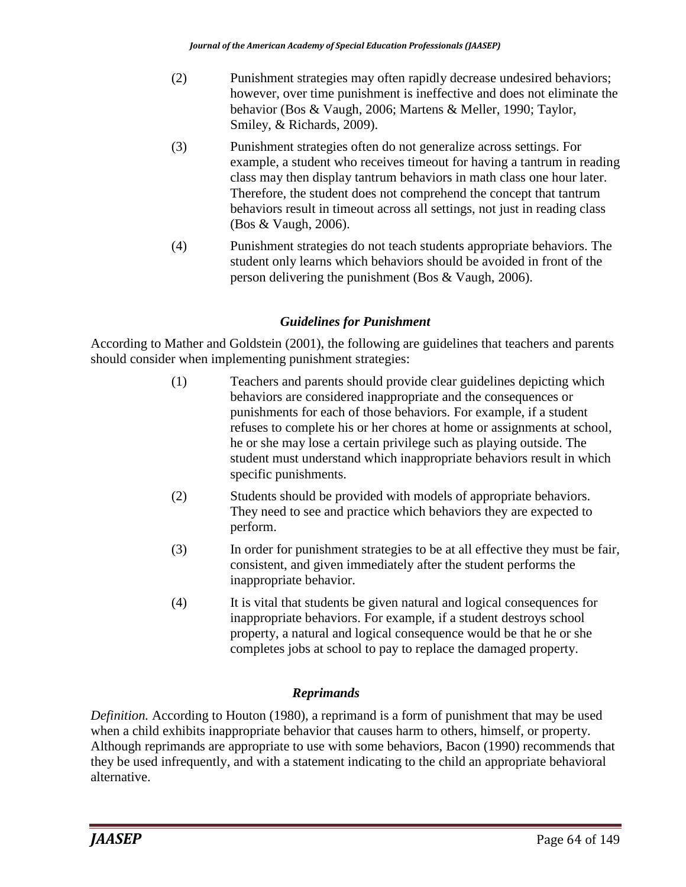- (2) Punishment strategies may often rapidly decrease undesired behaviors; however, over time punishment is ineffective and does not eliminate the behavior (Bos & Vaugh, 2006; Martens & Meller, 1990; Taylor, Smiley, & Richards, 2009).
- (3) Punishment strategies often do not generalize across settings. For example, a student who receives timeout for having a tantrum in reading class may then display tantrum behaviors in math class one hour later. Therefore, the student does not comprehend the concept that tantrum behaviors result in timeout across all settings, not just in reading class (Bos & Vaugh, 2006).
- (4) Punishment strategies do not teach students appropriate behaviors. The student only learns which behaviors should be avoided in front of the person delivering the punishment (Bos & Vaugh, 2006).

### *Guidelines for Punishment*

According to Mather and Goldstein (2001), the following are guidelines that teachers and parents should consider when implementing punishment strategies:

- (1) Teachers and parents should provide clear guidelines depicting which behaviors are considered inappropriate and the consequences or punishments for each of those behaviors. For example, if a student refuses to complete his or her chores at home or assignments at school, he or she may lose a certain privilege such as playing outside. The student must understand which inappropriate behaviors result in which specific punishments.
- (2) Students should be provided with models of appropriate behaviors. They need to see and practice which behaviors they are expected to perform.
- (3) In order for punishment strategies to be at all effective they must be fair, consistent, and given immediately after the student performs the inappropriate behavior.
- (4) It is vital that students be given natural and logical consequences for inappropriate behaviors. For example, if a student destroys school property, a natural and logical consequence would be that he or she completes jobs at school to pay to replace the damaged property.

### *Reprimands*

*Definition.* According to Houton (1980), a reprimand is a form of punishment that may be used when a child exhibits inappropriate behavior that causes harm to others, himself, or property. Although reprimands are appropriate to use with some behaviors, Bacon (1990) recommends that they be used infrequently, and with a statement indicating to the child an appropriate behavioral alternative.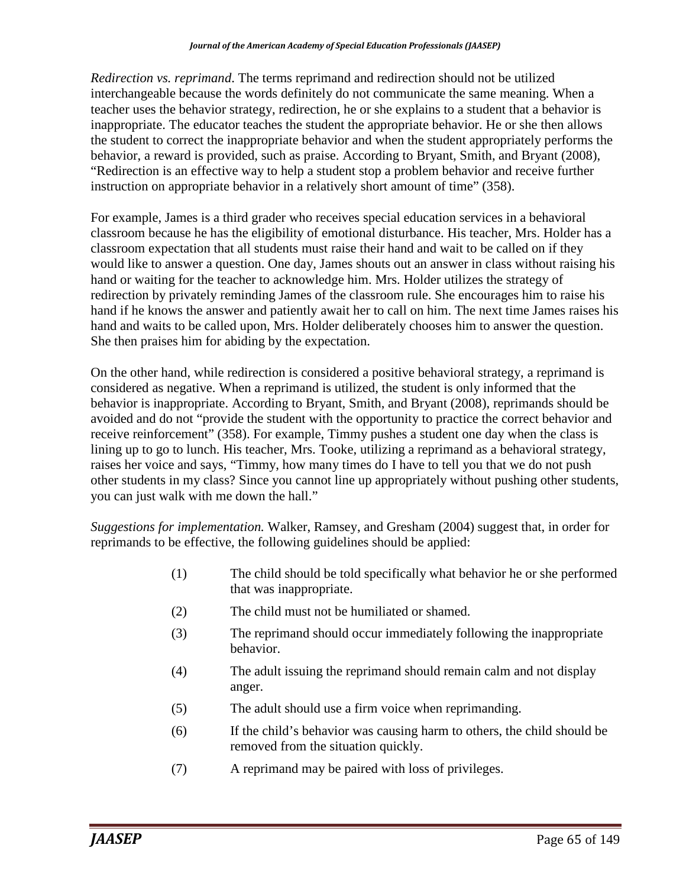*Redirection vs. reprimand*. The terms reprimand and redirection should not be utilized interchangeable because the words definitely do not communicate the same meaning. When a teacher uses the behavior strategy, redirection, he or she explains to a student that a behavior is inappropriate. The educator teaches the student the appropriate behavior. He or she then allows the student to correct the inappropriate behavior and when the student appropriately performs the behavior, a reward is provided, such as praise. According to Bryant, Smith, and Bryant (2008), "Redirection is an effective way to help a student stop a problem behavior and receive further instruction on appropriate behavior in a relatively short amount of time" (358).

For example, James is a third grader who receives special education services in a behavioral classroom because he has the eligibility of emotional disturbance. His teacher, Mrs. Holder has a classroom expectation that all students must raise their hand and wait to be called on if they would like to answer a question. One day, James shouts out an answer in class without raising his hand or waiting for the teacher to acknowledge him. Mrs. Holder utilizes the strategy of redirection by privately reminding James of the classroom rule. She encourages him to raise his hand if he knows the answer and patiently await her to call on him. The next time James raises his hand and waits to be called upon, Mrs. Holder deliberately chooses him to answer the question. She then praises him for abiding by the expectation.

On the other hand, while redirection is considered a positive behavioral strategy, a reprimand is considered as negative. When a reprimand is utilized, the student is only informed that the behavior is inappropriate. According to Bryant, Smith, and Bryant (2008), reprimands should be avoided and do not "provide the student with the opportunity to practice the correct behavior and receive reinforcement" (358). For example, Timmy pushes a student one day when the class is lining up to go to lunch. His teacher, Mrs. Tooke, utilizing a reprimand as a behavioral strategy, raises her voice and says, "Timmy, how many times do I have to tell you that we do not push other students in my class? Since you cannot line up appropriately without pushing other students, you can just walk with me down the hall."

*Suggestions for implementation.* Walker, Ramsey, and Gresham (2004) suggest that, in order for reprimands to be effective, the following guidelines should be applied:

- (1) The child should be told specifically what behavior he or she performed that was inappropriate.
- (2) The child must not be humiliated or shamed.
- (3) The reprimand should occur immediately following the inappropriate behavior.
- (4) The adult issuing the reprimand should remain calm and not display anger.
- (5) The adult should use a firm voice when reprimanding.
- (6) If the child's behavior was causing harm to others, the child should be removed from the situation quickly.
- (7) A reprimand may be paired with loss of privileges.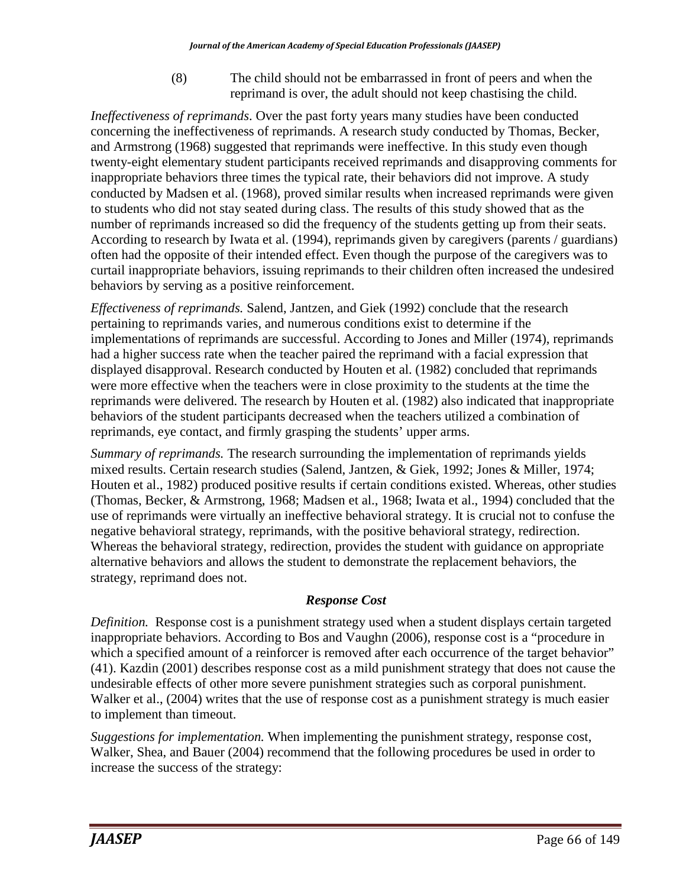(8) The child should not be embarrassed in front of peers and when the reprimand is over, the adult should not keep chastising the child.

*Ineffectiveness of reprimands*. Over the past forty years many studies have been conducted concerning the ineffectiveness of reprimands. A research study conducted by Thomas, Becker, and Armstrong (1968) suggested that reprimands were ineffective. In this study even though twenty-eight elementary student participants received reprimands and disapproving comments for inappropriate behaviors three times the typical rate, their behaviors did not improve. A study conducted by Madsen et al. (1968), proved similar results when increased reprimands were given to students who did not stay seated during class. The results of this study showed that as the number of reprimands increased so did the frequency of the students getting up from their seats. According to research by Iwata et al. (1994), reprimands given by caregivers (parents / guardians) often had the opposite of their intended effect. Even though the purpose of the caregivers was to curtail inappropriate behaviors, issuing reprimands to their children often increased the undesired behaviors by serving as a positive reinforcement.

*Effectiveness of reprimands.* Salend, Jantzen, and Giek (1992) conclude that the research pertaining to reprimands varies, and numerous conditions exist to determine if the implementations of reprimands are successful. According to Jones and Miller (1974), reprimands had a higher success rate when the teacher paired the reprimand with a facial expression that displayed disapproval. Research conducted by Houten et al. (1982) concluded that reprimands were more effective when the teachers were in close proximity to the students at the time the reprimands were delivered. The research by Houten et al. (1982) also indicated that inappropriate behaviors of the student participants decreased when the teachers utilized a combination of reprimands, eye contact, and firmly grasping the students' upper arms.

*Summary of reprimands.* The research surrounding the implementation of reprimands yields mixed results. Certain research studies (Salend, Jantzen, & Giek, 1992; Jones & Miller, 1974; Houten et al., 1982) produced positive results if certain conditions existed. Whereas, other studies (Thomas, Becker, & Armstrong, 1968; Madsen et al., 1968; Iwata et al., 1994) concluded that the use of reprimands were virtually an ineffective behavioral strategy. It is crucial not to confuse the negative behavioral strategy, reprimands, with the positive behavioral strategy, redirection. Whereas the behavioral strategy, redirection, provides the student with guidance on appropriate alternative behaviors and allows the student to demonstrate the replacement behaviors, the strategy, reprimand does not.

## *Response Cost*

*Definition.* Response cost is a punishment strategy used when a student displays certain targeted inappropriate behaviors. According to Bos and Vaughn (2006), response cost is a "procedure in which a specified amount of a reinforcer is removed after each occurrence of the target behavior" (41). Kazdin (2001) describes response cost as a mild punishment strategy that does not cause the undesirable effects of other more severe punishment strategies such as corporal punishment. Walker et al., (2004) writes that the use of response cost as a punishment strategy is much easier to implement than timeout.

*Suggestions for implementation.* When implementing the punishment strategy, response cost, Walker, Shea, and Bauer (2004) recommend that the following procedures be used in order to increase the success of the strategy: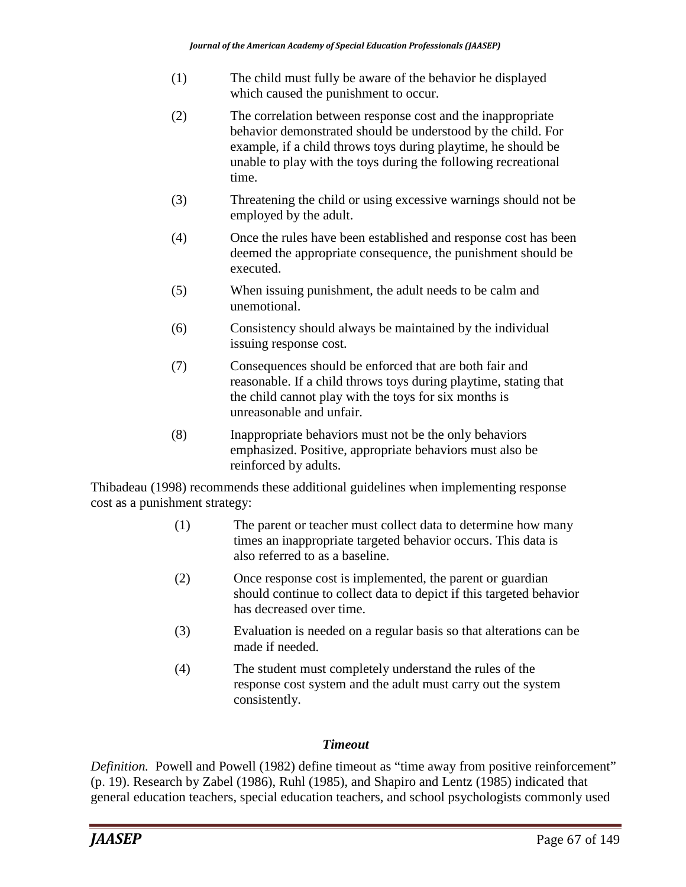- (1) The child must fully be aware of the behavior he displayed which caused the punishment to occur.
- (2) The correlation between response cost and the inappropriate behavior demonstrated should be understood by the child. For example, if a child throws toys during playtime, he should be unable to play with the toys during the following recreational time.
- (3) Threatening the child or using excessive warnings should not be employed by the adult.
- (4) Once the rules have been established and response cost has been deemed the appropriate consequence, the punishment should be executed.
- (5) When issuing punishment, the adult needs to be calm and unemotional.
- (6) Consistency should always be maintained by the individual issuing response cost.
- (7) Consequences should be enforced that are both fair and reasonable. If a child throws toys during playtime, stating that the child cannot play with the toys for six months is unreasonable and unfair.
- (8) Inappropriate behaviors must not be the only behaviors emphasized. Positive, appropriate behaviors must also be reinforced by adults.

Thibadeau (1998) recommends these additional guidelines when implementing response cost as a punishment strategy:

- (1) The parent or teacher must collect data to determine how many times an inappropriate targeted behavior occurs. This data is also referred to as a baseline.
- (2) Once response cost is implemented, the parent or guardian should continue to collect data to depict if this targeted behavior has decreased over time.
- (3) Evaluation is needed on a regular basis so that alterations can be made if needed.
- (4) The student must completely understand the rules of the response cost system and the adult must carry out the system consistently.

### *Timeout*

*Definition.* Powell and Powell (1982) define timeout as "time away from positive reinforcement" (p. 19). Research by Zabel (1986), Ruhl (1985), and Shapiro and Lentz (1985) indicated that general education teachers, special education teachers, and school psychologists commonly used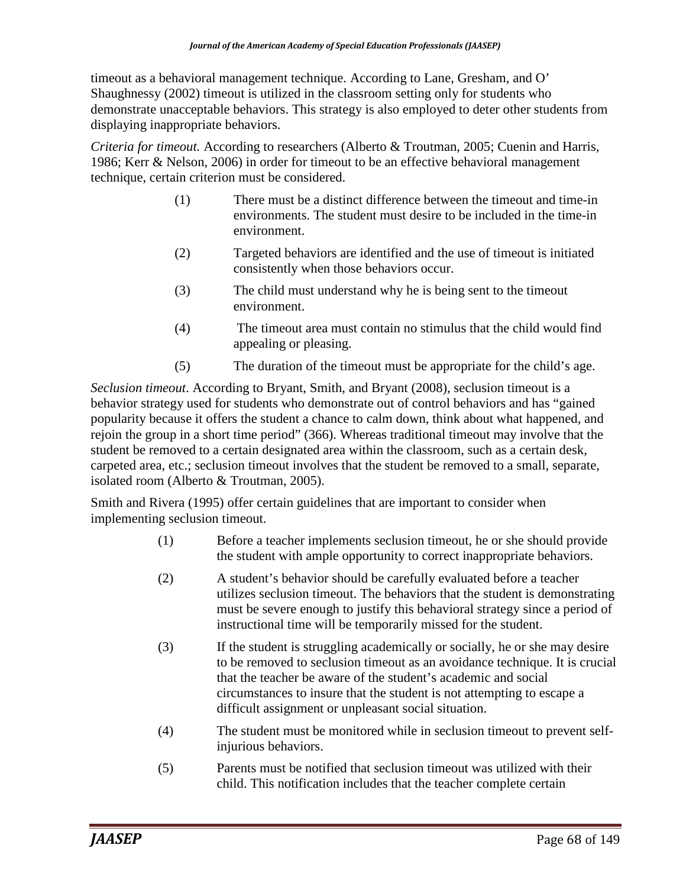timeout as a behavioral management technique. According to Lane, Gresham, and O' Shaughnessy (2002) timeout is utilized in the classroom setting only for students who demonstrate unacceptable behaviors. This strategy is also employed to deter other students from displaying inappropriate behaviors.

*Criteria for timeout.* According to researchers (Alberto & Troutman, 2005; Cuenin and Harris, 1986; Kerr & Nelson, 2006) in order for timeout to be an effective behavioral management technique, certain criterion must be considered.

- (1) There must be a distinct difference between the timeout and time-in environments. The student must desire to be included in the time-in environment.
- (2) Targeted behaviors are identified and the use of timeout is initiated consistently when those behaviors occur.
- (3) The child must understand why he is being sent to the timeout environment.
- (4) The timeout area must contain no stimulus that the child would find appealing or pleasing.
- (5) The duration of the timeout must be appropriate for the child's age.

*Seclusion timeout*. According to Bryant, Smith, and Bryant (2008), seclusion timeout is a behavior strategy used for students who demonstrate out of control behaviors and has "gained popularity because it offers the student a chance to calm down, think about what happened, and rejoin the group in a short time period" (366). Whereas traditional timeout may involve that the student be removed to a certain designated area within the classroom, such as a certain desk, carpeted area, etc.; seclusion timeout involves that the student be removed to a small, separate, isolated room (Alberto & Troutman, 2005).

Smith and Rivera (1995) offer certain guidelines that are important to consider when implementing seclusion timeout.

- (1) Before a teacher implements seclusion timeout, he or she should provide the student with ample opportunity to correct inappropriate behaviors.
- (2) A student's behavior should be carefully evaluated before a teacher utilizes seclusion timeout. The behaviors that the student is demonstrating must be severe enough to justify this behavioral strategy since a period of instructional time will be temporarily missed for the student.
- (3) If the student is struggling academically or socially, he or she may desire to be removed to seclusion timeout as an avoidance technique. It is crucial that the teacher be aware of the student's academic and social circumstances to insure that the student is not attempting to escape a difficult assignment or unpleasant social situation.
- (4) The student must be monitored while in seclusion timeout to prevent selfinjurious behaviors.
- (5) Parents must be notified that seclusion timeout was utilized with their child. This notification includes that the teacher complete certain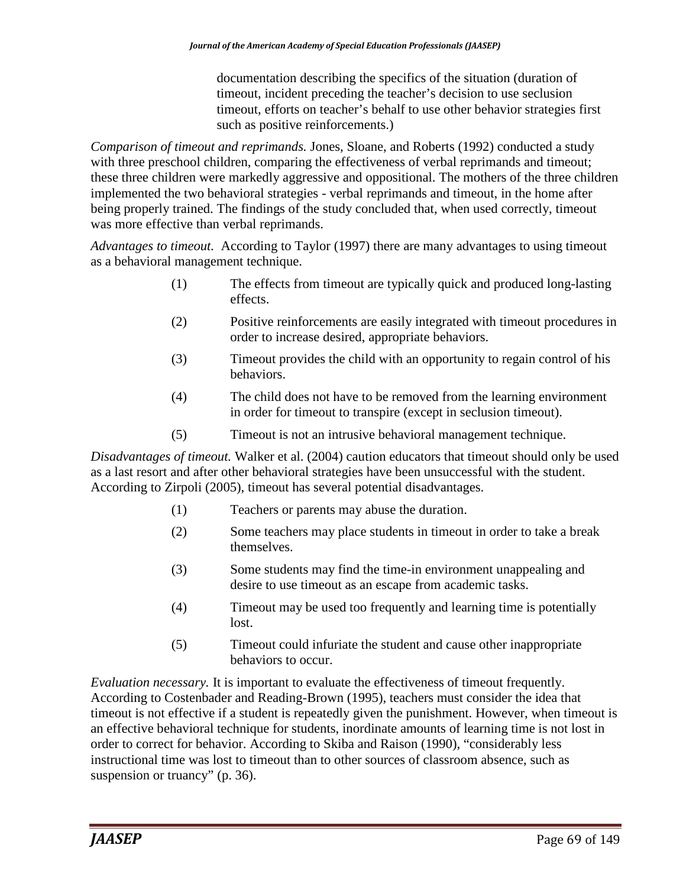documentation describing the specifics of the situation (duration of timeout, incident preceding the teacher's decision to use seclusion timeout, efforts on teacher's behalf to use other behavior strategies first such as positive reinforcements.)

*Comparison of timeout and reprimands.* Jones, Sloane, and Roberts (1992) conducted a study with three preschool children, comparing the effectiveness of verbal reprimands and timeout; these three children were markedly aggressive and oppositional. The mothers of the three children implemented the two behavioral strategies - verbal reprimands and timeout, in the home after being properly trained. The findings of the study concluded that, when used correctly, timeout was more effective than verbal reprimands.

*Advantages to timeout.* According to Taylor (1997) there are many advantages to using timeout as a behavioral management technique.

- (1) The effects from timeout are typically quick and produced long-lasting effects.
- (2) Positive reinforcements are easily integrated with timeout procedures in order to increase desired, appropriate behaviors.
- (3) Timeout provides the child with an opportunity to regain control of his behaviors.
- (4) The child does not have to be removed from the learning environment in order for timeout to transpire (except in seclusion timeout).
- (5) Timeout is not an intrusive behavioral management technique.

*Disadvantages of timeout.* Walker et al. (2004) caution educators that timeout should only be used as a last resort and after other behavioral strategies have been unsuccessful with the student. According to Zirpoli (2005), timeout has several potential disadvantages.

- (1) Teachers or parents may abuse the duration.
- (2) Some teachers may place students in timeout in order to take a break themselves.
- (3) Some students may find the time-in environment unappealing and desire to use timeout as an escape from academic tasks.
- (4) Timeout may be used too frequently and learning time is potentially lost.
- (5) Timeout could infuriate the student and cause other inappropriate behaviors to occur.

*Evaluation necessary.* It is important to evaluate the effectiveness of timeout frequently. According to Costenbader and Reading-Brown (1995), teachers must consider the idea that timeout is not effective if a student is repeatedly given the punishment. However, when timeout is an effective behavioral technique for students, inordinate amounts of learning time is not lost in order to correct for behavior. According to Skiba and Raison (1990), "considerably less instructional time was lost to timeout than to other sources of classroom absence, such as suspension or truancy" (p. 36).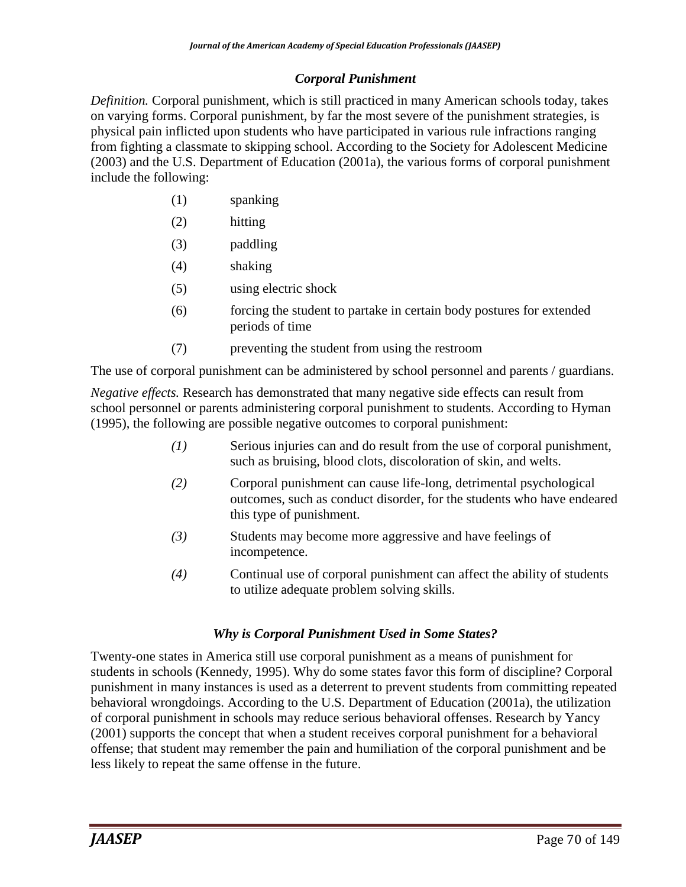### *Corporal Punishment*

*Definition.* Corporal punishment, which is still practiced in many American schools today, takes on varying forms. Corporal punishment, by far the most severe of the punishment strategies, is physical pain inflicted upon students who have participated in various rule infractions ranging from fighting a classmate to skipping school. According to the Society for Adolescent Medicine (2003) and the U.S. Department of Education (2001a), the various forms of corporal punishment include the following:

- (1) spanking
- (2) hitting
- (3) paddling
- (4) shaking
- (5) using electric shock
- (6) forcing the student to partake in certain body postures for extended periods of time
- (7) preventing the student from using the restroom

The use of corporal punishment can be administered by school personnel and parents / guardians.

*Negative effects.* Research has demonstrated that many negative side effects can result from school personnel or parents administering corporal punishment to students. According to Hyman (1995), the following are possible negative outcomes to corporal punishment:

- *(1)* Serious injuries can and do result from the use of corporal punishment, such as bruising, blood clots, discoloration of skin, and welts.
- *(2)* Corporal punishment can cause life-long, detrimental psychological outcomes*,* such as conduct disorder, for the students who have endeared this type of punishment.
- *(3)* Students may become more aggressive and have feelings of incompetence.
- *(4)* Continual use of corporal punishment can affect the ability of students to utilize adequate problem solving skills.

### *Why is Corporal Punishment Used in Some States?*

Twenty-one states in America still use corporal punishment as a means of punishment for students in schools (Kennedy, 1995). Why do some states favor this form of discipline? Corporal punishment in many instances is used as a deterrent to prevent students from committing repeated behavioral wrongdoings. According to the U.S. Department of Education (2001a), the utilization of corporal punishment in schools may reduce serious behavioral offenses. Research by Yancy (2001) supports the concept that when a student receives corporal punishment for a behavioral offense; that student may remember the pain and humiliation of the corporal punishment and be less likely to repeat the same offense in the future.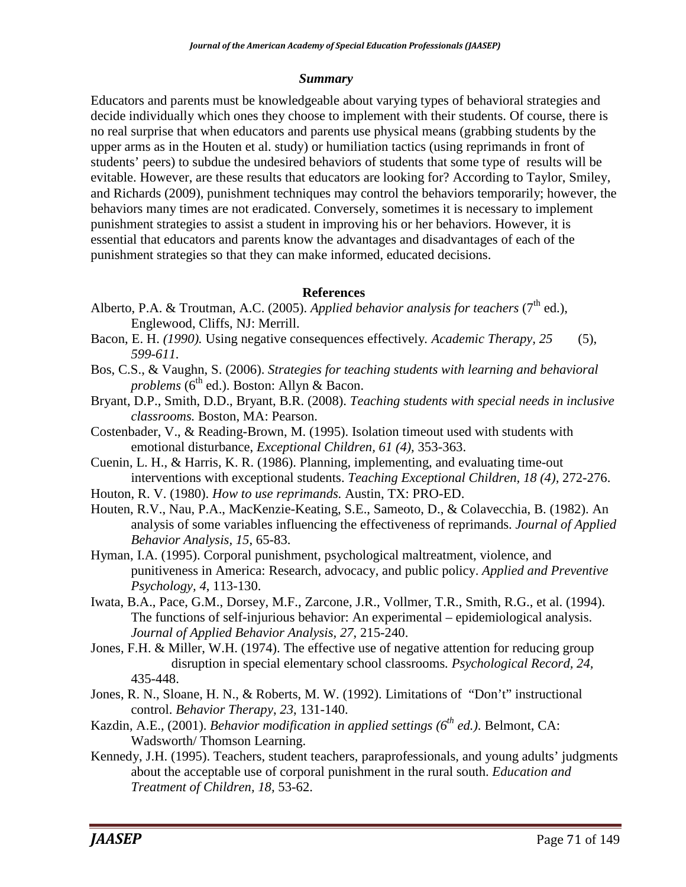#### *Summary*

Educators and parents must be knowledgeable about varying types of behavioral strategies and decide individually which ones they choose to implement with their students. Of course, there is no real surprise that when educators and parents use physical means (grabbing students by the upper arms as in the Houten et al. study) or humiliation tactics (using reprimands in front of students' peers) to subdue the undesired behaviors of students that some type of results will be evitable. However, are these results that educators are looking for? According to Taylor, Smiley, and Richards (2009), punishment techniques may control the behaviors temporarily; however, the behaviors many times are not eradicated. Conversely, sometimes it is necessary to implement punishment strategies to assist a student in improving his or her behaviors. However, it is essential that educators and parents know the advantages and disadvantages of each of the punishment strategies so that they can make informed, educated decisions.

### **References**

- Alberto, P.A. & Troutman, A.C. (2005). *Applied behavior analysis for teachers* ( $7<sup>th</sup>$  ed.), Englewood, Cliffs, NJ: Merrill.
- Bacon, E. H. *(1990).* Using negative consequences effectively*. Academic Therapy, 25* (5), *599-611.*
- Bos, C.S., & Vaughn, S. (2006). *Strategies for teaching students with learning and behavioral problems* (6<sup>th</sup> ed.). Boston: Allyn & Bacon.
- Bryant, D.P., Smith, D.D., Bryant, B.R. (2008). *Teaching students with special needs in inclusive classrooms.* Boston, MA: Pearson.
- Costenbader, V., & Reading-Brown, M. (1995). Isolation timeout used with students with emotional disturbance, *Exceptional Children, 61 (4),* 353-363.
- Cuenin, L. H., & Harris, K. R. (1986). Planning, implementing, and evaluating time-out interventions with exceptional students. *Teaching Exceptional Children, 18 (4),* 272-276.
- Houton, R. V. (1980). *How to use reprimands.* Austin, TX: PRO-ED.
- Houten, R.V., Nau, P.A., MacKenzie-Keating, S.E., Sameoto, D., & Colavecchia, B. (1982). An analysis of some variables influencing the effectiveness of reprimands. *Journal of Applied Behavior Analysis, 15*, 65-83.
- Hyman, I.A. (1995). Corporal punishment, psychological maltreatment, violence, and punitiveness in America: Research, advocacy, and public policy. *Applied and Preventive Psychology, 4*, 113-130.
- Iwata, B.A., Pace, G.M., Dorsey, M.F., Zarcone, J.R., Vollmer, T.R., Smith, R.G., et al. (1994). The functions of self-injurious behavior: An experimental – epidemiological analysis. *Journal of Applied Behavior Analysis, 27*, 215-240.
- Jones, F.H. & Miller, W.H. (1974). The effective use of negative attention for reducing group disruption in special elementary school classrooms*. Psychological Record, 24,* 435-448.
- Jones, R. N., Sloane, H. N., & Roberts, M. W. (1992). Limitations of "Don't" instructional control. *Behavior Therapy*, *23*, 131-140.
- Kazdin, A.E., (2001). *Behavior modification in applied settings (6th ed.)*. Belmont, CA: Wadsworth/ Thomson Learning.
- Kennedy, J.H. (1995). Teachers, student teachers, paraprofessionals, and young adults' judgments about the acceptable use of corporal punishment in the rural south. *Education and Treatment of Children, 18,* 53-62.